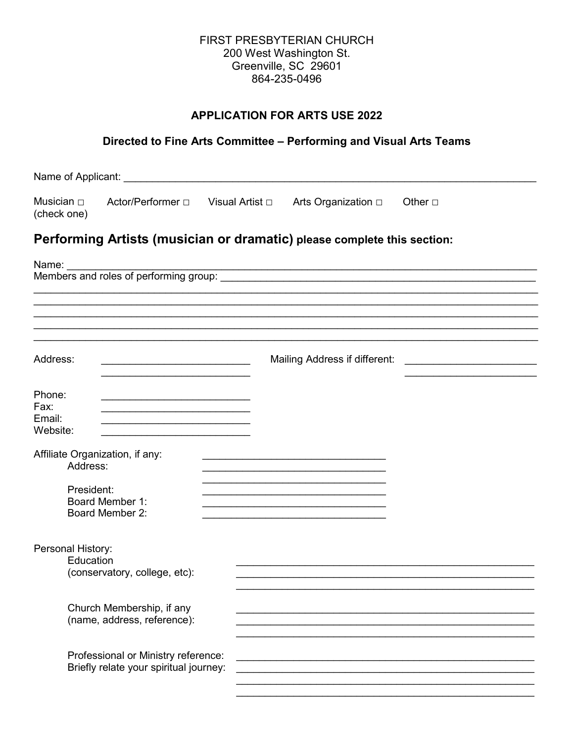#### FIRST PRESBYTERIAN CHURCH 200 West Washington St. Greenville, SC 29601 864-235-0496

# **APPLICATION FOR ARTS USE 2022**

# Directed to Fine Arts Committee - Performing and Visual Arts Teams

|                                      | Name of Applicant: Name of Applicant:                                                                                                                                                                                                                                                                          |                                                                    |                                                                                                                      |
|--------------------------------------|----------------------------------------------------------------------------------------------------------------------------------------------------------------------------------------------------------------------------------------------------------------------------------------------------------------|--------------------------------------------------------------------|----------------------------------------------------------------------------------------------------------------------|
| Musician $\Box$<br>(check one)       | Actor/Performer □                                                                                                                                                                                                                                                                                              |                                                                    | Other $\square$                                                                                                      |
|                                      | Performing Artists (musician or dramatic) please complete this section:                                                                                                                                                                                                                                        |                                                                    |                                                                                                                      |
| Name: <b>Name</b>                    |                                                                                                                                                                                                                                                                                                                | <u> 1989 - Jan Samuel Barbara, margaret eta idazlea (h. 1989).</u> |                                                                                                                      |
|                                      |                                                                                                                                                                                                                                                                                                                |                                                                    |                                                                                                                      |
|                                      |                                                                                                                                                                                                                                                                                                                |                                                                    |                                                                                                                      |
| Address:                             |                                                                                                                                                                                                                                                                                                                | Mailing Address if different:                                      | <u> 1980 - Jan Stein Stein Stein Stein Stein Stein Stein Stein Stein Stein Stein Stein Stein Stein Stein Stein S</u> |
| Phone:<br>Fax:<br>Email:<br>Website: | <u> 1980 - Johann Barbara, marka a shekara tsa 1980 - An tsa 1980 - An tsa 1980 - An tsa 1980 - An tsa 1980 - An</u><br>the control of the control of the control of the control of the control of the control of<br>the control of the control of the control of the control of the control of the control of |                                                                    |                                                                                                                      |
|                                      | Affiliate Organization, if any:<br>Address:                                                                                                                                                                                                                                                                    |                                                                    |                                                                                                                      |
|                                      | President:<br>Board Member 1:<br>Board Member 2:                                                                                                                                                                                                                                                               |                                                                    |                                                                                                                      |
| Personal History:                    | Education<br>(conservatory, college, etc):                                                                                                                                                                                                                                                                     |                                                                    |                                                                                                                      |
|                                      | Church Membership, if any<br>(name, address, reference):                                                                                                                                                                                                                                                       |                                                                    |                                                                                                                      |
|                                      | Professional or Ministry reference:<br>Briefly relate your spiritual journey:                                                                                                                                                                                                                                  |                                                                    |                                                                                                                      |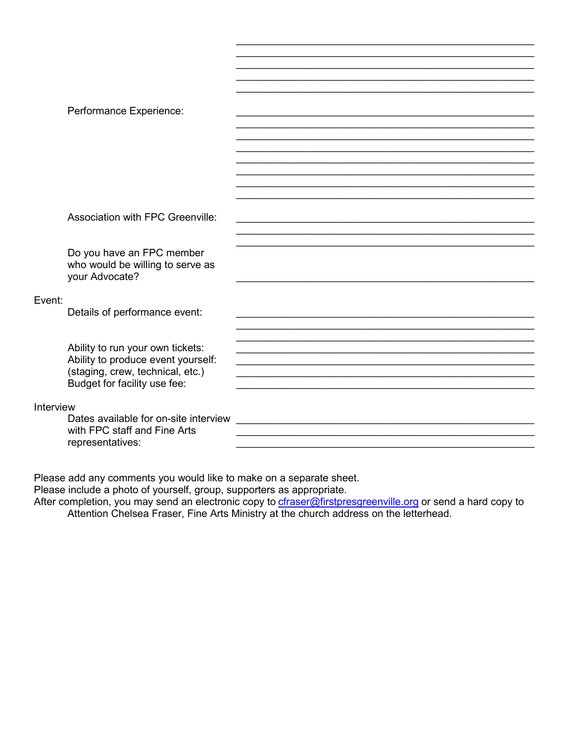|           | Performance Experience:               |  |
|-----------|---------------------------------------|--|
|           |                                       |  |
|           |                                       |  |
|           |                                       |  |
|           |                                       |  |
|           |                                       |  |
|           |                                       |  |
|           |                                       |  |
|           |                                       |  |
|           |                                       |  |
|           |                                       |  |
|           | Association with FPC Greenville:      |  |
|           |                                       |  |
|           |                                       |  |
|           | Do you have an FPC member             |  |
|           | who would be willing to serve as      |  |
|           | your Advocate?                        |  |
|           |                                       |  |
| Event:    |                                       |  |
|           |                                       |  |
|           | Details of performance event:         |  |
|           |                                       |  |
|           |                                       |  |
|           | Ability to run your own tickets:      |  |
|           | Ability to produce event yourself:    |  |
|           | (staging, crew, technical, etc.)      |  |
|           | Budget for facility use fee:          |  |
|           |                                       |  |
|           |                                       |  |
| Interview |                                       |  |
|           | Dates available for on-site interview |  |
|           | with FPC staff and Fine Arts          |  |
|           | representatives:                      |  |

Please add any comments you would like to make on a separate sheet.<br>Please include a photo of yourself, group, supporters as appropriate.<br>After completion, you may send an electronic copy to **cfraser@firstpresgreenville.or**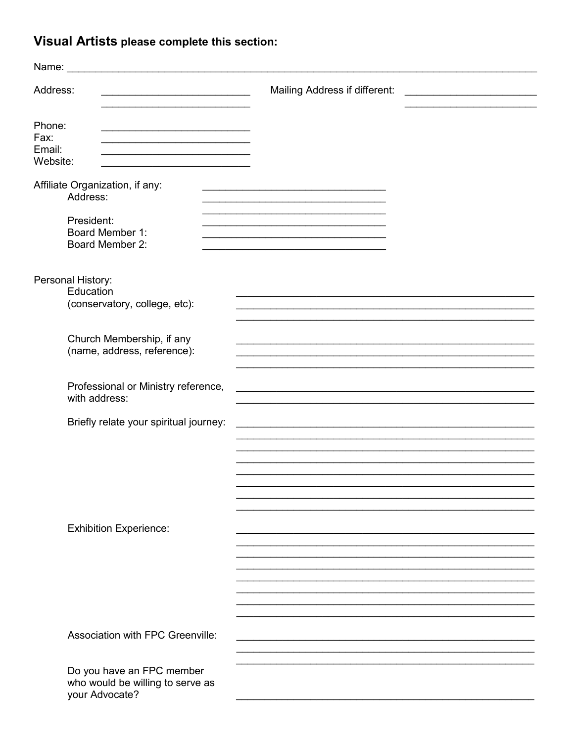# Visual Artists please complete this section:

| Name:                                | <u> 1980 - John Stein, Amerikaansk politiker (</u>                                                                                 |                                                                                                                  |
|--------------------------------------|------------------------------------------------------------------------------------------------------------------------------------|------------------------------------------------------------------------------------------------------------------|
| Address:                             | <u> 1989 - Johann Barbara, martxa alemaniar a</u>                                                                                  | Mailing Address if different:<br>the contract of the contract of the contract of the contract of the contract of |
| Phone:<br>Fax:<br>Email:<br>Website: | the contract of the contract of the contract of the contract of the contract of<br><u> 1980 - Johann John Stone, mars et al. (</u> |                                                                                                                  |
|                                      | Affiliate Organization, if any:<br>Address:                                                                                        | <u> 1989 - Johann Stoff, amerikansk politiker (* 1908)</u>                                                       |
|                                      | President:<br>Board Member 1:<br>Board Member 2:                                                                                   |                                                                                                                  |
|                                      | Personal History:<br>Education<br>(conservatory, college, etc):                                                                    |                                                                                                                  |
|                                      | Church Membership, if any<br>(name, address, reference):                                                                           |                                                                                                                  |
|                                      | Professional or Ministry reference,<br>with address:                                                                               |                                                                                                                  |
|                                      | Briefly relate your spiritual journey:                                                                                             |                                                                                                                  |
|                                      |                                                                                                                                    |                                                                                                                  |
|                                      | <b>Exhibition Experience:</b>                                                                                                      |                                                                                                                  |
|                                      |                                                                                                                                    |                                                                                                                  |
|                                      | Association with FPC Greenville:                                                                                                   |                                                                                                                  |
|                                      | Do you have an FPC member<br>who would be willing to serve as<br>your Advocate?                                                    |                                                                                                                  |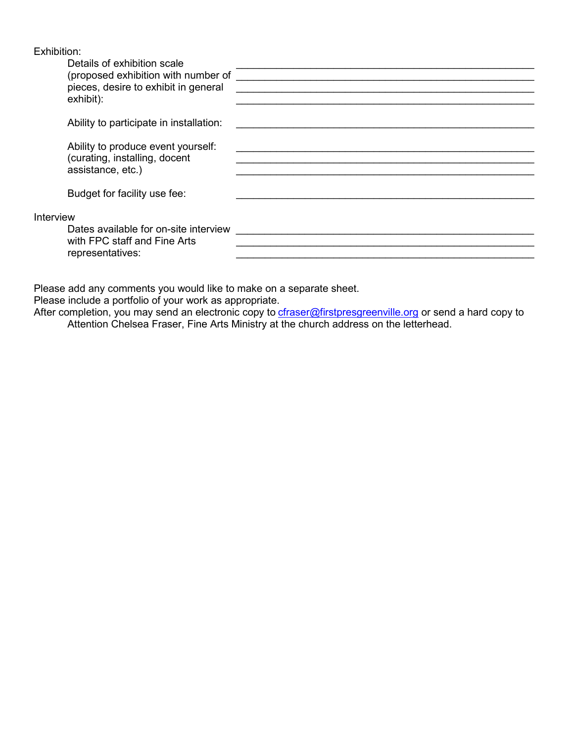| Exhibition: |  |  |
|-------------|--|--|
|             |  |  |
|             |  |  |

|           | Details of exhibition scale<br>(proposed exhibition with number of<br>pieces, desire to exhibit in general<br>exhibit): |  |
|-----------|-------------------------------------------------------------------------------------------------------------------------|--|
|           | Ability to participate in installation:                                                                                 |  |
|           | Ability to produce event yourself:<br>(curating, installing, docent<br>assistance, etc.)                                |  |
|           | Budget for facility use fee:                                                                                            |  |
| Interview |                                                                                                                         |  |
|           | Dates available for on-site interview<br>with FPC staff and Fine Arts<br>representatives:                               |  |

Please add any comments you would like to make on a separate sheet.

Please include a portfolio of your work as appropriate.

After completion, you may send an electronic copy to <u>[cfraser@firstpresgreenville.org](mailto:cfraser@firstpresgreenville.org)</u> or send a hard copy to Attention Chelsea Fraser, Fine Arts Ministry at the church address on the letterhead.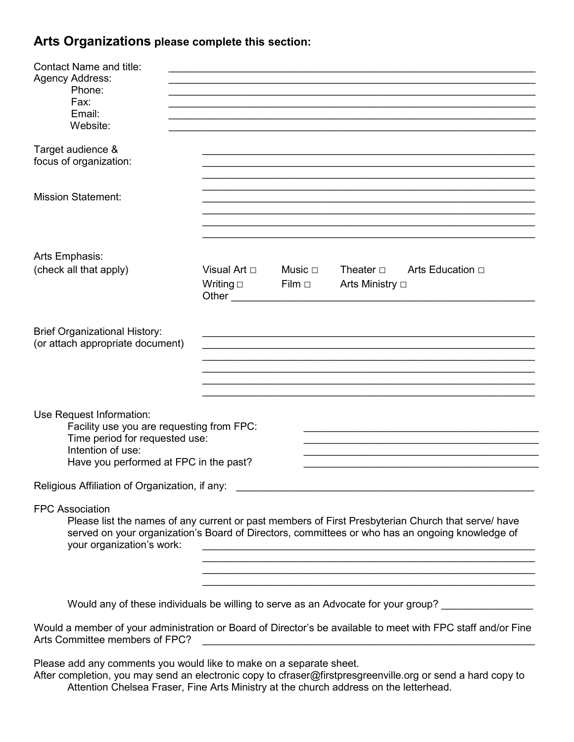## **Arts Organizations please complete this section:**

| <b>Contact Name and title:</b>                                              |                                                                                                                                                                                                                               |             |                                                                                                                                                              |
|-----------------------------------------------------------------------------|-------------------------------------------------------------------------------------------------------------------------------------------------------------------------------------------------------------------------------|-------------|--------------------------------------------------------------------------------------------------------------------------------------------------------------|
| <b>Agency Address:</b><br>Phone:                                            |                                                                                                                                                                                                                               |             |                                                                                                                                                              |
| Fax:                                                                        |                                                                                                                                                                                                                               |             |                                                                                                                                                              |
| Email:<br>Website:                                                          |                                                                                                                                                                                                                               |             |                                                                                                                                                              |
|                                                                             |                                                                                                                                                                                                                               |             |                                                                                                                                                              |
| Target audience &                                                           |                                                                                                                                                                                                                               |             |                                                                                                                                                              |
| focus of organization:                                                      |                                                                                                                                                                                                                               |             |                                                                                                                                                              |
|                                                                             |                                                                                                                                                                                                                               |             |                                                                                                                                                              |
| <b>Mission Statement:</b>                                                   |                                                                                                                                                                                                                               |             |                                                                                                                                                              |
|                                                                             |                                                                                                                                                                                                                               |             |                                                                                                                                                              |
|                                                                             |                                                                                                                                                                                                                               |             |                                                                                                                                                              |
| Arts Emphasis:                                                              |                                                                                                                                                                                                                               |             |                                                                                                                                                              |
| (check all that apply)                                                      | Visual Art $\Box$                                                                                                                                                                                                             | Music ⊡     | Theater $\square$                                                                                                                                            |
|                                                                             | Writing $\square$                                                                                                                                                                                                             | $Film \Box$ | Arts Ministry □                                                                                                                                              |
|                                                                             | Other and the contract of the contract of the contract of the contract of the contract of the contract of the contract of the contract of the contract of the contract of the contract of the contract of the contract of the |             |                                                                                                                                                              |
|                                                                             |                                                                                                                                                                                                                               |             |                                                                                                                                                              |
| <b>Brief Organizational History:</b>                                        |                                                                                                                                                                                                                               |             |                                                                                                                                                              |
| (or attach appropriate document)                                            |                                                                                                                                                                                                                               |             |                                                                                                                                                              |
|                                                                             |                                                                                                                                                                                                                               |             |                                                                                                                                                              |
|                                                                             |                                                                                                                                                                                                                               |             |                                                                                                                                                              |
|                                                                             |                                                                                                                                                                                                                               |             |                                                                                                                                                              |
| Use Request Information:                                                    |                                                                                                                                                                                                                               |             |                                                                                                                                                              |
| Facility use you are requesting from FPC:<br>Time period for requested use: |                                                                                                                                                                                                                               |             |                                                                                                                                                              |
| Intention of use:                                                           |                                                                                                                                                                                                                               |             |                                                                                                                                                              |
| Have you performed at FPC in the past?                                      |                                                                                                                                                                                                                               |             |                                                                                                                                                              |
| Religious Affiliation of Organization, if any:                              |                                                                                                                                                                                                                               |             |                                                                                                                                                              |
| <b>FPC Association</b>                                                      |                                                                                                                                                                                                                               |             |                                                                                                                                                              |
|                                                                             |                                                                                                                                                                                                                               |             | Please list the names of any current or past members of First Presbyterian Church that serve/ have                                                           |
| your organization's work:                                                   |                                                                                                                                                                                                                               |             | served on your organization's Board of Directors, committees or who has an ongoing knowledge of<br><u> 1980 - Johann Barnett, fransk politiker (d. 1980)</u> |
|                                                                             |                                                                                                                                                                                                                               |             |                                                                                                                                                              |
|                                                                             |                                                                                                                                                                                                                               |             |                                                                                                                                                              |
|                                                                             |                                                                                                                                                                                                                               |             | Would any of these individuals be willing to serve as an Advocate for your group? ________________                                                           |
|                                                                             |                                                                                                                                                                                                                               |             |                                                                                                                                                              |

Would a member of your administration or Board of Director's be available to meet with FPC staff and/or Fine Arts Committee members of FPC?

Please add any comments you would like to make on a separate sheet.

After completion, you may send an electronic copy to cfraser@firstpresgreenville.org or send a hard copy to Attention Chelsea Fraser, Fine Arts Ministry at the church address on the letterhead.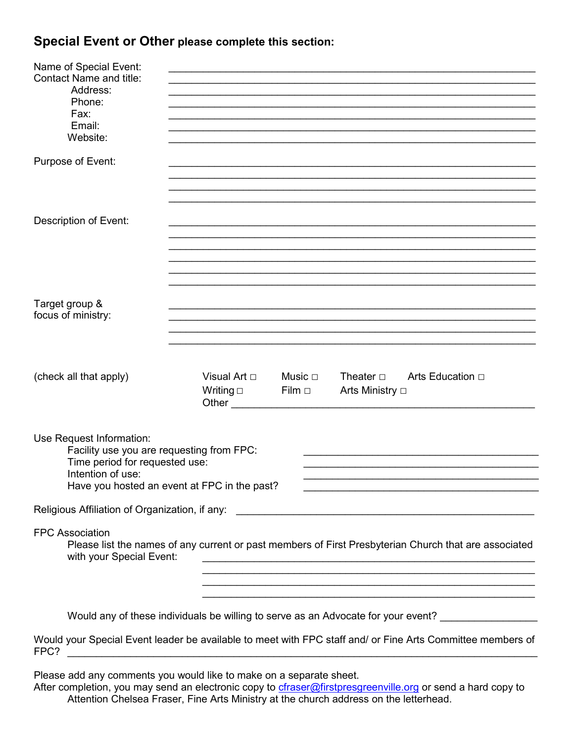# **Special Event or Other please complete this section:**

| Name of Special Event:<br><b>Contact Name and title:</b><br>Address:<br>Phone:<br>Fax:<br>Email:<br>Website:                                                                                                               |                                            |                                                                        |                                                                                   |  |
|----------------------------------------------------------------------------------------------------------------------------------------------------------------------------------------------------------------------------|--------------------------------------------|------------------------------------------------------------------------|-----------------------------------------------------------------------------------|--|
| Purpose of Event:                                                                                                                                                                                                          |                                            |                                                                        |                                                                                   |  |
| Description of Event:                                                                                                                                                                                                      |                                            |                                                                        |                                                                                   |  |
| Target group &<br>focus of ministry:                                                                                                                                                                                       |                                            |                                                                        |                                                                                   |  |
| (check all that apply)                                                                                                                                                                                                     | Visual Art □<br>Writing $\square$<br>Other | Music $\square$<br>Theater $\square$<br>Film $\Box$<br>Arts Ministry □ | Arts Education □                                                                  |  |
| Use Request Information:<br>Facility use you are requesting from FPC:<br>Time period for requested use:<br>Intention of use:<br>Have you hosted an event at FPC in the past?                                               |                                            |                                                                        |                                                                                   |  |
|                                                                                                                                                                                                                            |                                            |                                                                        |                                                                                   |  |
| <b>FPC Association</b><br>Please list the names of any current or past members of First Presbyterian Church that are associated<br>with your Special Event:<br><u> 1989 - Johann Stoff, Amerikaansk politiker († 1908)</u> |                                            |                                                                        |                                                                                   |  |
| <u> 1989 - Johann Stoff, amerikansk politiker (d. 1989)</u><br><u> 1989 - Johann Stoff, amerikansk politiker (d. 1989)</u>                                                                                                 |                                            |                                                                        |                                                                                   |  |
|                                                                                                                                                                                                                            |                                            |                                                                        | Would any of these individuals be willing to serve as an Advocate for your event? |  |
| Would your Special Event leader be available to meet with FPC staff and/ or Fine Arts Committee members of                                                                                                                 |                                            |                                                                        |                                                                                   |  |

Please add any comments you would like to make on a separate sheet.

FPC? \_\_\_\_\_\_\_\_\_\_\_\_\_\_\_\_\_\_\_\_\_\_\_\_\_\_\_\_\_\_\_\_\_\_\_\_\_\_\_\_\_\_\_\_\_\_\_\_\_\_\_\_\_\_\_\_\_\_\_\_\_\_\_\_\_\_\_\_\_\_\_\_\_\_\_\_\_\_\_\_\_\_

After completion, you may send an electronic copy to *cfraser@firstpresgreenville.org* or send a hard copy to Attention Chelsea Fraser, Fine Arts Ministry at the church address on the letterhead.